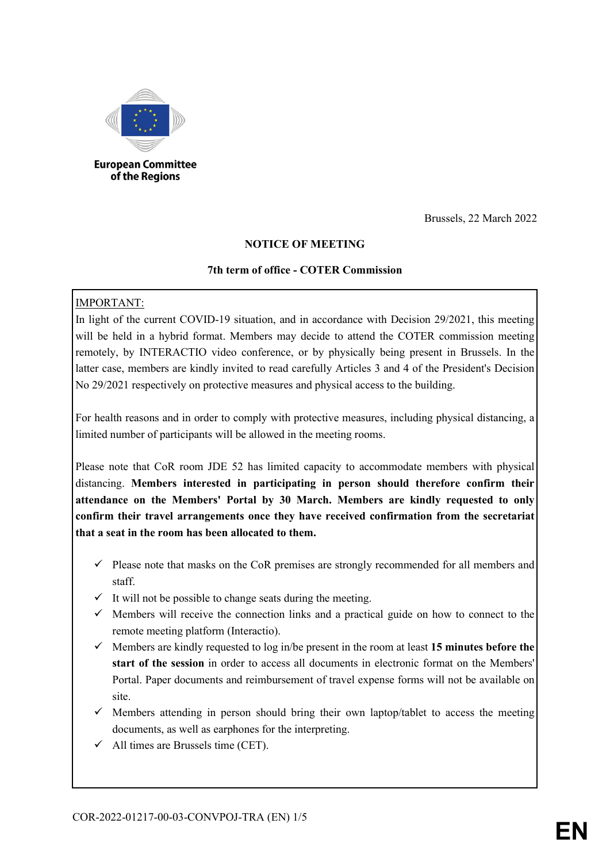

#### **European Committee** of the Regions

Brussels, 22 March 2022

## **NOTICE OF MEETING**

### **7th term of office - COTER Commission**

## IMPORTANT:

In light of the current COVID-19 situation, and in accordance with Decision 29/2021, this meeting will be held in a hybrid format. Members may decide to attend the COTER commission meeting remotely, by INTERACTIO video conference, or by physically being present in Brussels. In the latter case, members are kindly invited to read carefully Articles 3 and 4 of the President's Decision No 29/2021 respectively on protective measures and physical access to the building.

For health reasons and in order to comply with protective measures, including physical distancing, a limited number of participants will be allowed in the meeting rooms.

Please note that CoR room JDE 52 has limited capacity to accommodate members with physical distancing. **Members interested in participating in person should therefore confirm their attendance on the Members' Portal by 30 March. Members are kindly requested to only confirm their travel arrangements once they have received confirmation from the secretariat that a seat in the room has been allocated to them.**

- $\checkmark$  Please note that masks on the CoR premises are strongly recommended for all members and staff.
- $\checkmark$  It will not be possible to change seats during the meeting.
- $\checkmark$  Members will receive the connection links and a practical guide on how to connect to the remote meeting platform (Interactio).
- $\checkmark$  Members are kindly requested to log in/be present in the room at least 15 minutes before the **start of the session** in order to access all documents in electronic format on the Members' Portal. Paper documents and reimbursement of travel expense forms will not be available on site.
- $\checkmark$  Members attending in person should bring their own laptop/tablet to access the meeting documents, as well as earphones for the interpreting.
- $\checkmark$  All times are Brussels time (CET).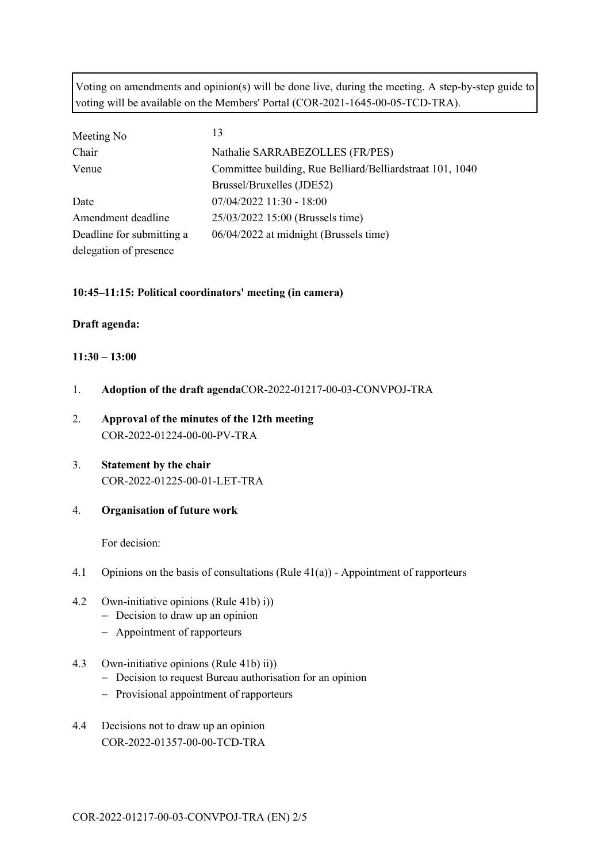Voting on amendments and opinion(s) will be done live, during the meeting. A step-by-step guide to voting will be available on the Members' Portal (COR-2021-1645-00-05-TCD-TRA).

| Meeting No                | 13                                                        |  |  |
|---------------------------|-----------------------------------------------------------|--|--|
| Chair                     | Nathalie SARRABEZOLLES (FR/PES)                           |  |  |
| Venue                     | Committee building, Rue Belliard/Belliardstraat 101, 1040 |  |  |
|                           | Brussel/Bruxelles (JDE52)                                 |  |  |
| Date                      | $07/04/2022$ 11:30 - 18:00                                |  |  |
| Amendment deadline        | 25/03/2022 15:00 (Brussels time)                          |  |  |
| Deadline for submitting a | 06/04/2022 at midnight (Brussels time)                    |  |  |
| delegation of presence    |                                                           |  |  |

#### **10:45–11:15: Political coordinators' meeting (in camera)**

#### **Draft agenda:**

#### **11:30 – 13:00**

- 1. **Adoption of the draft agenda**COR-2022-01217-00-03-CONVPOJ-TRA
- 2. **Approval of the minutes of the 12th meeting** COR-2022-01224-00-00-PV-TRA
- 3. **Statement by the chair** COR-2022-01225-00-01-LET-TRA
- 4. **Organisation of future work**

For decision:

- 4.1 Opinions on the basis of consultations (Rule 41(a)) Appointment of rapporteurs
- 4.2 Own-initiative opinions (Rule 41b) i))
	- − Decision to draw up an opinion
	- − Appointment of rapporteurs
- 4.3 Own-initiative opinions (Rule 41b) ii))
	- − Decision to request Bureau authorisation for an opinion
	- − Provisional appointment of rapporteurs
- 4.4 Decisions not to draw up an opinion COR-2022-01357-00-00-TCD-TRA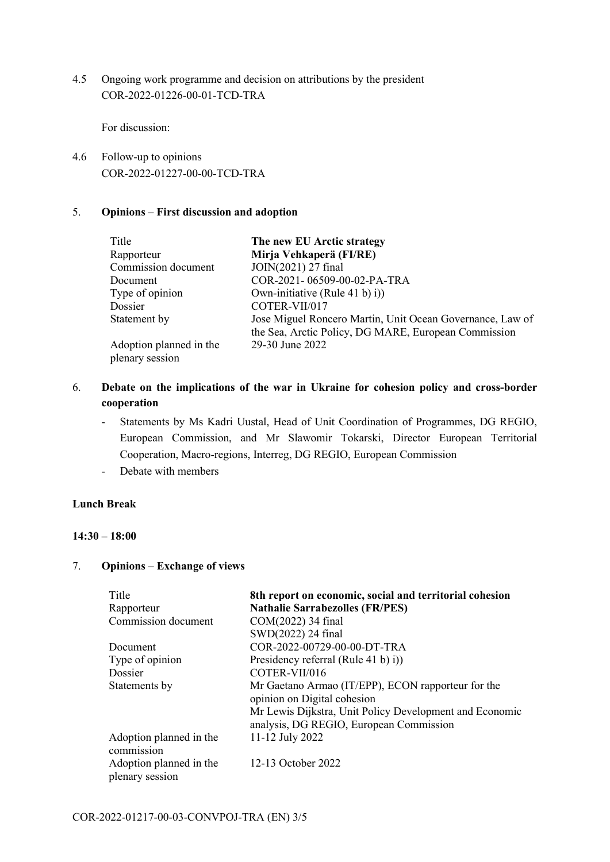4.5 Ongoing work programme and decision on attributions by the president COR-2022-01226-00-01-TCD-TRA

For discussion:

4.6 Follow-up to opinions COR-2022-01227-00-00-TCD-TRA

#### 5. **Opinions – First discussion and adoption**

| Title                                      | The new EU Arctic strategy                                                                                        |
|--------------------------------------------|-------------------------------------------------------------------------------------------------------------------|
| Rapporteur                                 | Mirja Vehkaperä (FI/RE)                                                                                           |
| Commission document                        | JOIN(2021) 27 final                                                                                               |
| Document                                   | COR-2021-06509-00-02-PA-TRA                                                                                       |
| Type of opinion                            | Own-initiative (Rule 41 b) i))                                                                                    |
| Dossier                                    | COTER-VII/017                                                                                                     |
| Statement by                               | Jose Miguel Roncero Martin, Unit Ocean Governance, Law of<br>the Sea, Arctic Policy, DG MARE, European Commission |
| Adoption planned in the<br>plenary session | 29-30 June 2022                                                                                                   |

- 6. **Debate on the implications of the war in Ukraine for cohesion policy and cross-border cooperation** 
	- Statements by Ms Kadri Uustal, Head of Unit Coordination of Programmes, DG REGIO, European Commission, and Mr Slawomir Tokarski, Director European Territorial Cooperation, Macro-regions, Interreg, DG REGIO, European Commission
	- Debate with members

## **Lunch Break**

#### **14:30 – 18:00**

## 7. **Opinions – Exchange of views**

| Title                                      | 8th report on economic, social and territorial cohesion                                            |  |  |  |
|--------------------------------------------|----------------------------------------------------------------------------------------------------|--|--|--|
| Rapporteur                                 | <b>Nathalie Sarrabezolles (FR/PES)</b>                                                             |  |  |  |
| Commission document                        | COM(2022) 34 final                                                                                 |  |  |  |
|                                            | SWD(2022) 24 final                                                                                 |  |  |  |
| Document                                   | COR-2022-00729-00-00-DT-TRA                                                                        |  |  |  |
| Type of opinion                            | Presidency referral (Rule 41 b) i))                                                                |  |  |  |
| Dossier                                    | COTER-VII/016                                                                                      |  |  |  |
| Statements by                              | Mr Gaetano Armao (IT/EPP), ECON rapporteur for the<br>opinion on Digital cohesion                  |  |  |  |
|                                            | Mr Lewis Dijkstra, Unit Policy Development and Economic<br>analysis, DG REGIO, European Commission |  |  |  |
| Adoption planned in the<br>commission      | 11-12 July 2022                                                                                    |  |  |  |
| Adoption planned in the<br>plenary session | 12-13 October 2022                                                                                 |  |  |  |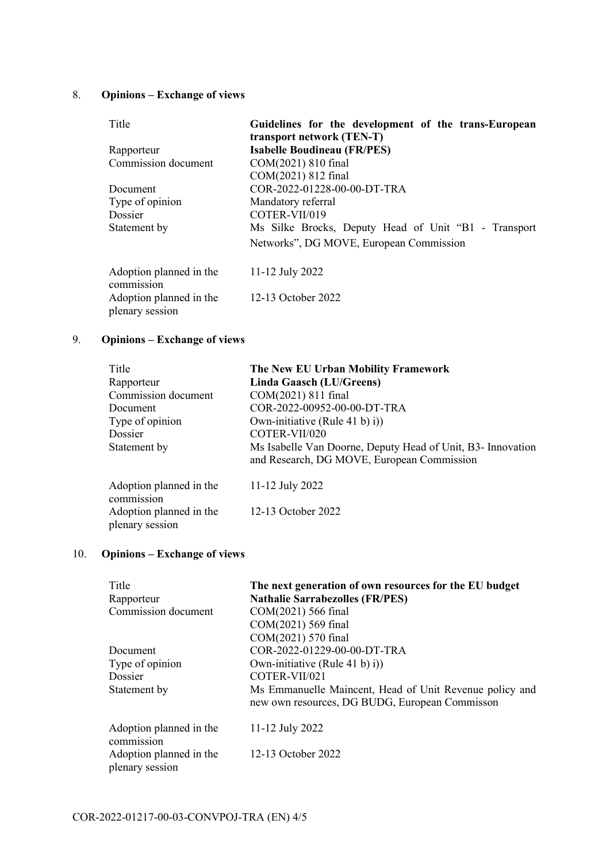# 8. **Opinions – Exchange of views**

| Title                                      | Guidelines for the development of the trans-European |  |  |  |
|--------------------------------------------|------------------------------------------------------|--|--|--|
|                                            | transport network (TEN-T)                            |  |  |  |
| Rapporteur                                 | <b>Isabelle Boudineau (FR/PES)</b>                   |  |  |  |
| Commission document                        | COM(2021) 810 final                                  |  |  |  |
|                                            | COM(2021) 812 final                                  |  |  |  |
| Document                                   | COR-2022-01228-00-00-DT-TRA                          |  |  |  |
| Type of opinion                            | Mandatory referral                                   |  |  |  |
| Dossier                                    | COTER-VII/019                                        |  |  |  |
| Statement by                               | Ms Silke Brocks, Deputy Head of Unit "B1 - Transport |  |  |  |
|                                            | Networks", DG MOVE, European Commission              |  |  |  |
| Adoption planned in the<br>commission      | 11-12 July 2022                                      |  |  |  |
| Adoption planned in the<br>plenary session | 12-13 October 2022                                   |  |  |  |

# 9. **Opinions – Exchange of views**

| Title<br>Rapporteur<br>Commission document<br>Document<br>Type of opinion           | The New EU Urban Mobility Framework<br>Linda Gaasch (LU/Greens)<br>COM(2021) 811 final<br>COR-2022-00952-00-00-DT-TRA<br>Own-initiative (Rule 41 b) i)) |
|-------------------------------------------------------------------------------------|---------------------------------------------------------------------------------------------------------------------------------------------------------|
| Dossier<br>Statement by                                                             | COTER-VII/020<br>Ms Isabelle Van Doorne, Deputy Head of Unit, B3- Innovation<br>and Research, DG MOVE, European Commission                              |
| Adoption planned in the<br>commission<br>Adoption planned in the<br>plenary session | 11-12 July 2022<br>12-13 October 2022                                                                                                                   |

# 10. **Opinions – Exchange of views**

| Title<br>Rapporteur<br>Commission document                                          | The next generation of own resources for the EU budget<br><b>Nathalie Sarrabezolles (FR/PES)</b><br>COM(2021) 566 final<br>COM(2021) 569 final                                                                     |
|-------------------------------------------------------------------------------------|--------------------------------------------------------------------------------------------------------------------------------------------------------------------------------------------------------------------|
| Document<br>Type of opinion<br>Dossier<br>Statement by                              | COM(2021) 570 final<br>COR-2022-01229-00-00-DT-TRA<br>Own-initiative (Rule 41 b) i))<br>COTER-VII/021<br>Ms Emmanuelle Maincent, Head of Unit Revenue policy and<br>new own resources, DG BUDG, European Commisson |
| Adoption planned in the<br>commission<br>Adoption planned in the<br>plenary session | 11-12 July 2022<br>12-13 October 2022                                                                                                                                                                              |